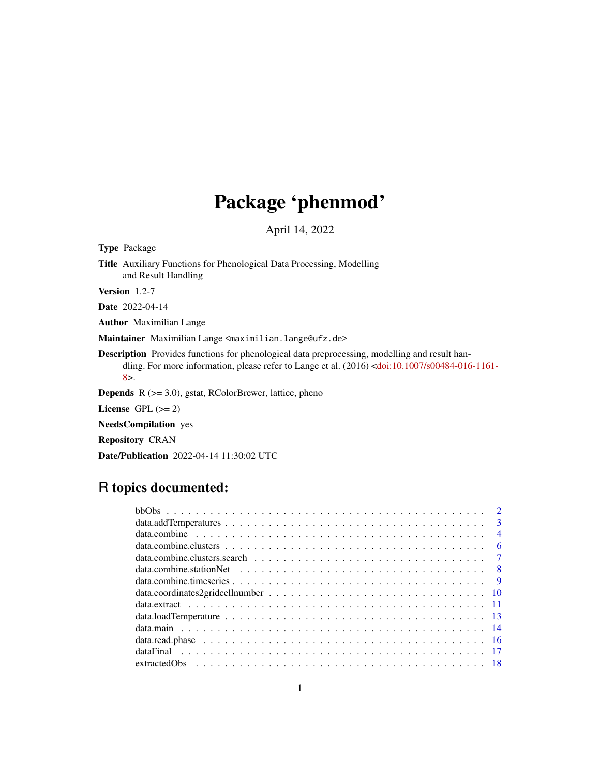# Package 'phenmod'

April 14, 2022

<span id="page-0-0"></span>Type Package

Title Auxiliary Functions for Phenological Data Processing, Modelling and Result Handling

Version 1.2-7

Date 2022-04-14

Author Maximilian Lange

Maintainer Maximilian Lange <maximilian.lange@ufz.de>

Description Provides functions for phenological data preprocessing, modelling and result handling. For more information, please refer to Lange et al. (2016) [<doi:10.1007/s00484-016-1161-](https://doi.org/10.1007/s00484-016-1161-8) [8>](https://doi.org/10.1007/s00484-016-1161-8).

Depends R (>= 3.0), gstat, RColorBrewer, lattice, pheno

License GPL  $(>= 2)$ 

NeedsCompilation yes

Repository CRAN

Date/Publication 2022-04-14 11:30:02 UTC

## R topics documented:

| $\mathbf{3}$   |
|----------------|
| $\overline{4}$ |
| -6             |
| $\overline{7}$ |
|                |
| $\overline{Q}$ |
|                |
|                |
|                |
|                |
|                |
|                |
|                |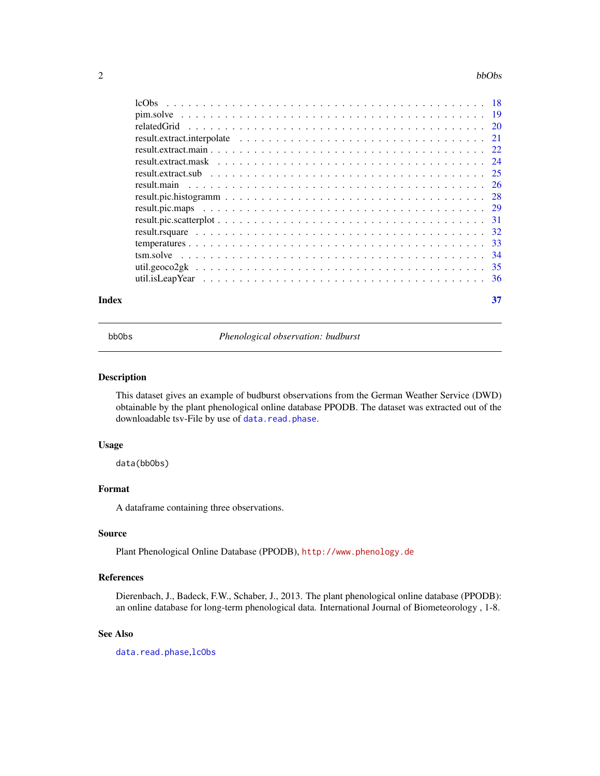#### <span id="page-1-0"></span>2 bbObs and the contract of the contract of the contract of the contract of the contract of the contract of the contract of the contract of the contract of the contract of the contract of the contract of the contract of th

| Index | 37 |
|-------|----|

<span id="page-1-1"></span>

bbObs *Phenological observation: budburst*

### Description

This dataset gives an example of budburst observations from the German Weather Service (DWD) obtainable by the plant phenological online database PPODB. The dataset was extracted out of the downloadable tsv-File by use of [data.read.phase](#page-15-1).

#### Usage

data(bbObs)

### Format

A dataframe containing three observations.

### Source

Plant Phenological Online Database (PPODB), <http://www.phenology.de>

### References

Dierenbach, J., Badeck, F.W., Schaber, J., 2013. The plant phenological online database (PPODB): an online database for long-term phenological data. International Journal of Biometeorology , 1-8.

#### See Also

[data.read.phase](#page-15-1),[lcObs](#page-17-1)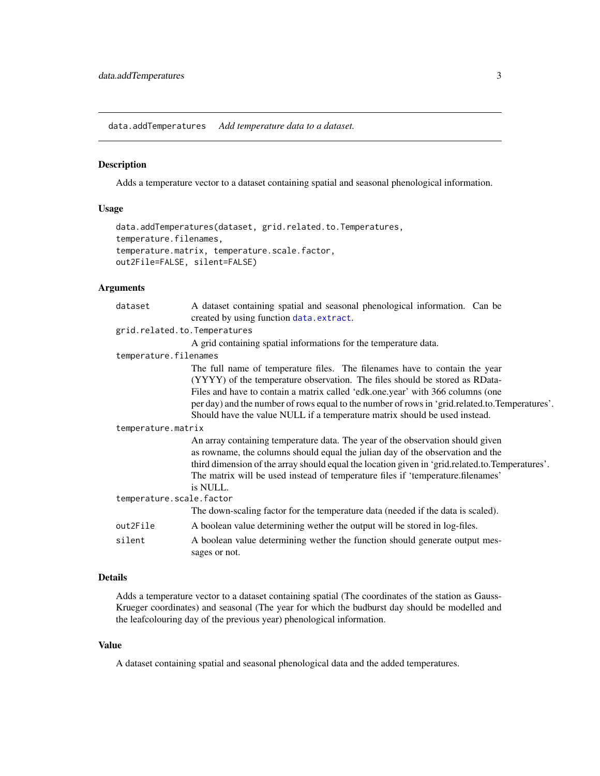<span id="page-2-1"></span><span id="page-2-0"></span>data.addTemperatures *Add temperature data to a dataset.*

#### Description

Adds a temperature vector to a dataset containing spatial and seasonal phenological information.

### Usage

```
data.addTemperatures(dataset, grid.related.to.Temperatures,
temperature.filenames,
temperature.matrix, temperature.scale.factor,
out2File=FALSE, silent=FALSE)
```
### Arguments

| dataset                  | A dataset containing spatial and seasonal phenological information. Can be                      |  |  |
|--------------------------|-------------------------------------------------------------------------------------------------|--|--|
|                          | created by using function data.extract.                                                         |  |  |
|                          | grid.related.to.Temperatures                                                                    |  |  |
|                          | A grid containing spatial informations for the temperature data.                                |  |  |
| temperature.filenames    |                                                                                                 |  |  |
|                          | The full name of temperature files. The filenames have to contain the year                      |  |  |
|                          | (YYYY) of the temperature observation. The files should be stored as RData-                     |  |  |
|                          | Files and have to contain a matrix called 'edk.one.year' with 366 columns (one                  |  |  |
|                          | per day) and the number of rows equal to the number of rows in 'grid.related.to.Temperatures'.  |  |  |
|                          | Should have the value NULL if a temperature matrix should be used instead.                      |  |  |
| temperature.matrix       |                                                                                                 |  |  |
|                          | An array containing temperature data. The year of the observation should given                  |  |  |
|                          | as rowname, the columns should equal the julian day of the observation and the                  |  |  |
|                          | third dimension of the array should equal the location given in 'grid.related.to.Temperatures'. |  |  |
|                          | The matrix will be used instead of temperature files if 'temperature.filenames'                 |  |  |
|                          | is NULL.                                                                                        |  |  |
| temperature.scale.factor |                                                                                                 |  |  |
|                          | The down-scaling factor for the temperature data (needed if the data is scaled).                |  |  |
| out2File                 | A boolean value determining wether the output will be stored in log-files.                      |  |  |
| silent                   | A boolean value determining wether the function should generate output mes-<br>sages or not.    |  |  |
|                          |                                                                                                 |  |  |

### Details

Adds a temperature vector to a dataset containing spatial (The coordinates of the station as Gauss-Krueger coordinates) and seasonal (The year for which the budburst day should be modelled and the leafcolouring day of the previous year) phenological information.

### Value

A dataset containing spatial and seasonal phenological data and the added temperatures.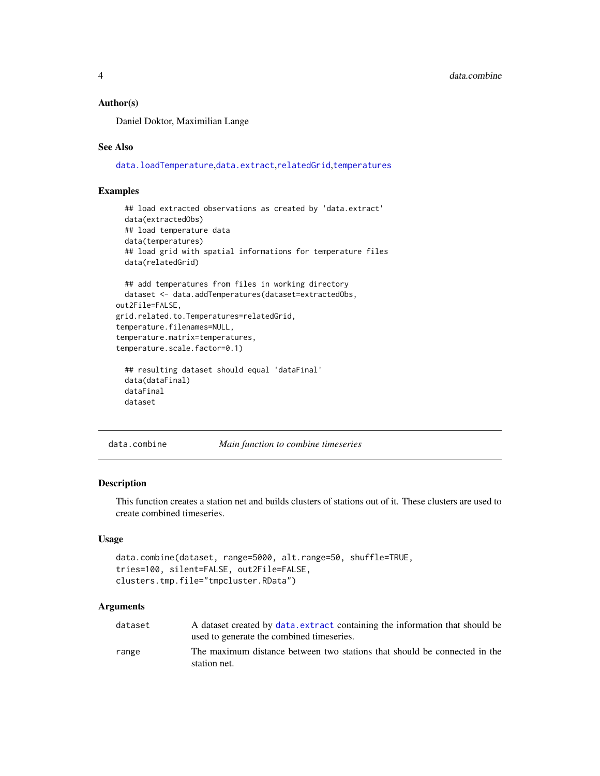#### <span id="page-3-0"></span>Author(s)

Daniel Doktor, Maximilian Lange

#### See Also

[data.loadTemperature](#page-12-1),[data.extract](#page-10-1),[relatedGrid](#page-19-1),[temperatures](#page-32-1)

### Examples

```
## load extracted observations as created by 'data.extract'
 data(extractedObs)
 ## load temperature data
 data(temperatures)
 ## load grid with spatial informations for temperature files
 data(relatedGrid)
 ## add temperatures from files in working directory
 dataset <- data.addTemperatures(dataset=extractedObs,
out2File=FALSE,
grid.related.to.Temperatures=relatedGrid,
temperature.filenames=NULL,
temperature.matrix=temperatures,
temperature.scale.factor=0.1)
 ## resulting dataset should equal 'dataFinal'
 data(dataFinal)
 dataFinal
 dataset
```
### <span id="page-3-1"></span>data.combine *Main function to combine timeseries*

#### Description

This function creates a station net and builds clusters of stations out of it. These clusters are used to create combined timeseries.

### Usage

```
data.combine(dataset, range=5000, alt.range=50, shuffle=TRUE,
tries=100, silent=FALSE, out2File=FALSE,
clusters.tmp.file="tmpcluster.RData")
```
#### Arguments

| dataset | A dataset created by data. extract containing the information that should be              |
|---------|-------------------------------------------------------------------------------------------|
|         | used to generate the combined timeseries.                                                 |
| range   | The maximum distance between two stations that should be connected in the<br>station net. |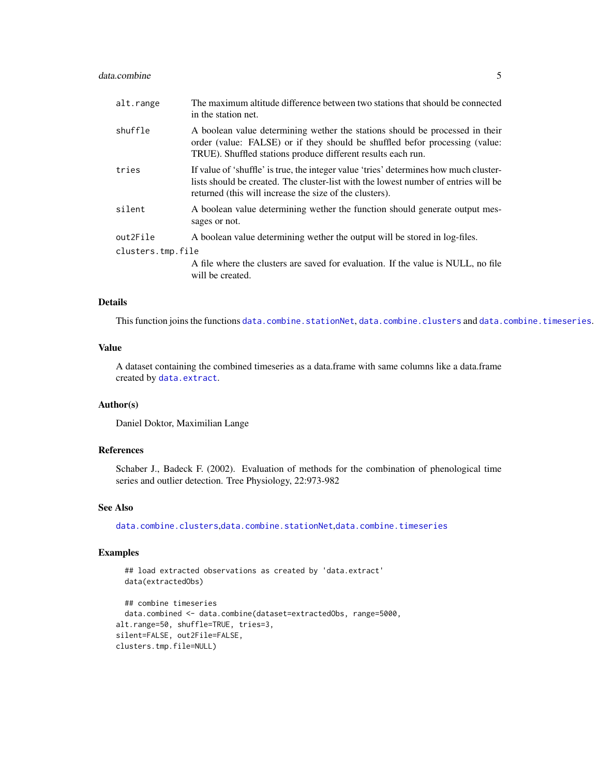#### <span id="page-4-0"></span>data.combine 5

| alt.range         | The maximum altitude difference between two stations that should be connected<br>in the station net.                                                                                                                                    |  |
|-------------------|-----------------------------------------------------------------------------------------------------------------------------------------------------------------------------------------------------------------------------------------|--|
| shuffle           | A boolean value determining wether the stations should be processed in their<br>order (value: FALSE) or if they should be shuffled befor processing (value:<br>TRUE). Shuffled stations produce different results each run.             |  |
| tries             | If value of 'shuffle' is true, the integer value 'tries' determines how much cluster-<br>lists should be created. The cluster-list with the lowest number of entries will be<br>returned (this will increase the size of the clusters). |  |
| silent            | A boolean value determining wether the function should generate output mes-<br>sages or not.                                                                                                                                            |  |
| out2File          | A boolean value determining wether the output will be stored in log-files.                                                                                                                                                              |  |
| clusters.tmp.file |                                                                                                                                                                                                                                         |  |
|                   | A file where the clusters are saved for evaluation. If the value is NULL, no file<br>will be created.                                                                                                                                   |  |

### Details

This function joins the functions [data.combine.stationNet](#page-7-1), [data.combine.clusters](#page-5-1) and [data.combine.timeseries](#page-8-1).

### Value

A dataset containing the combined timeseries as a data.frame with same columns like a data.frame created by [data.extract](#page-10-1).

### Author(s)

Daniel Doktor, Maximilian Lange

#### References

Schaber J., Badeck F. (2002). Evaluation of methods for the combination of phenological time series and outlier detection. Tree Physiology, 22:973-982

#### See Also

[data.combine.clusters](#page-5-1),[data.combine.stationNet](#page-7-1),[data.combine.timeseries](#page-8-1)

#### Examples

```
## load extracted observations as created by 'data.extract'
 data(extractedObs)
 ## combine timeseries
 data.combined <- data.combine(dataset=extractedObs, range=5000,
alt.range=50, shuffle=TRUE, tries=3,
silent=FALSE, out2File=FALSE,
clusters.tmp.file=NULL)
```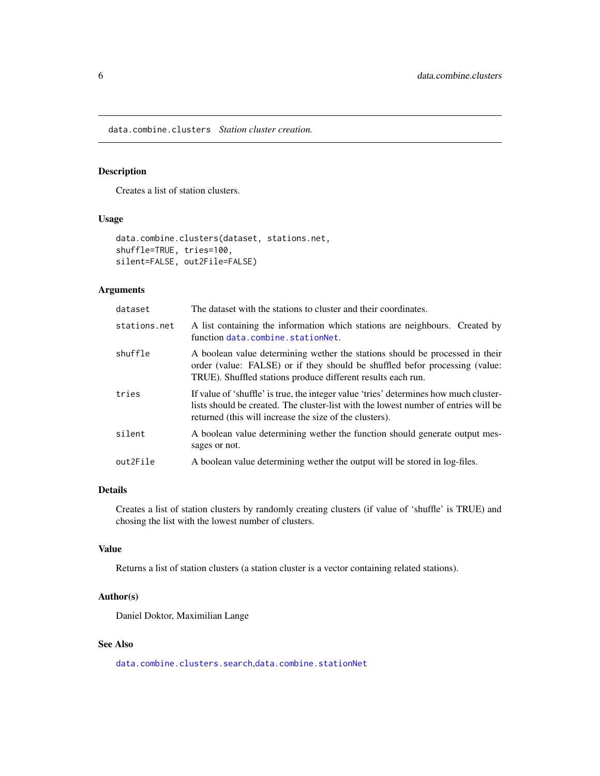<span id="page-5-1"></span><span id="page-5-0"></span>data.combine.clusters *Station cluster creation.*

### Description

Creates a list of station clusters.

### Usage

```
data.combine.clusters(dataset, stations.net,
shuffle=TRUE, tries=100,
silent=FALSE, out2File=FALSE)
```
### Arguments

| dataset      | The dataset with the stations to cluster and their coordinates.                                                                                                                                                                         |
|--------------|-----------------------------------------------------------------------------------------------------------------------------------------------------------------------------------------------------------------------------------------|
| stations.net | A list containing the information which stations are neighbours. Created by<br>function data.combine.stationNet.                                                                                                                        |
| shuffle      | A boolean value determining wether the stations should be processed in their<br>order (value: FALSE) or if they should be shuffled befor processing (value:<br>TRUE). Shuffled stations produce different results each run.             |
| tries        | If value of 'shuffle' is true, the integer value 'tries' determines how much cluster-<br>lists should be created. The cluster-list with the lowest number of entries will be<br>returned (this will increase the size of the clusters). |
| silent       | A boolean value determining wether the function should generate output mes-<br>sages or not.                                                                                                                                            |
| out2File     | A boolean value determining wether the output will be stored in log-files.                                                                                                                                                              |

### Details

Creates a list of station clusters by randomly creating clusters (if value of 'shuffle' is TRUE) and chosing the list with the lowest number of clusters.

### Value

Returns a list of station clusters (a station cluster is a vector containing related stations).

#### Author(s)

Daniel Doktor, Maximilian Lange

#### See Also

[data.combine.clusters.search](#page-6-1),[data.combine.stationNet](#page-7-1)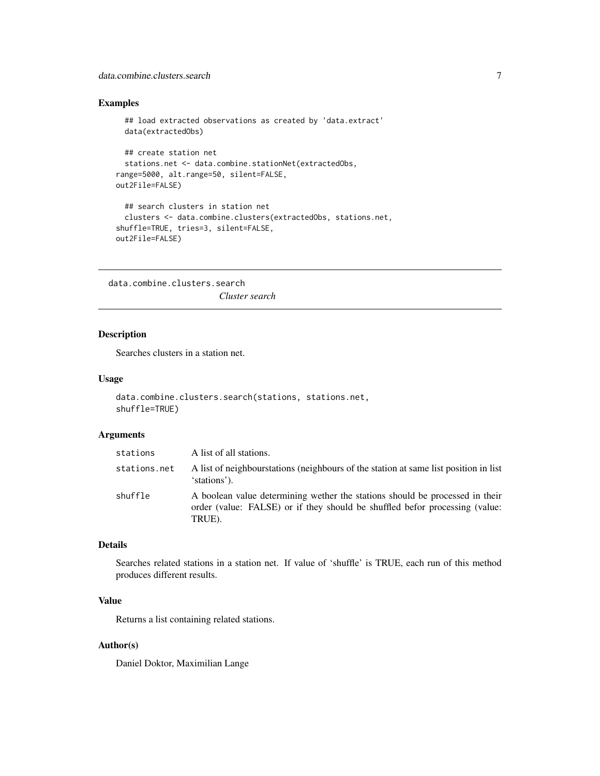### <span id="page-6-0"></span>data.combine.clusters.search 7

### Examples

```
## load extracted observations as created by 'data.extract'
 data(extractedObs)
 ## create station net
 stations.net <- data.combine.stationNet(extractedObs,
range=5000, alt.range=50, silent=FALSE,
out2File=FALSE)
 ## search clusters in station net
 clusters <- data.combine.clusters(extractedObs, stations.net,
shuffle=TRUE, tries=3, silent=FALSE,
out2File=FALSE)
```
<span id="page-6-1"></span>data.combine.clusters.search *Cluster search*

### Description

Searches clusters in a station net.

### Usage

```
data.combine.clusters.search(stations, stations.net,
shuffle=TRUE)
```
#### Arguments

| stations     | A list of all stations.                                                                                                                                               |
|--------------|-----------------------------------------------------------------------------------------------------------------------------------------------------------------------|
| stations.net | A list of neighbourstations (neighbours of the station at same list position in list<br>'stations').                                                                  |
| shuffle      | A boolean value determining wether the stations should be processed in their<br>order (value: FALSE) or if they should be shuffled befor processing (value:<br>TRUE). |

### Details

Searches related stations in a station net. If value of 'shuffle' is TRUE, each run of this method produces different results.

### Value

Returns a list containing related stations.

### Author(s)

Daniel Doktor, Maximilian Lange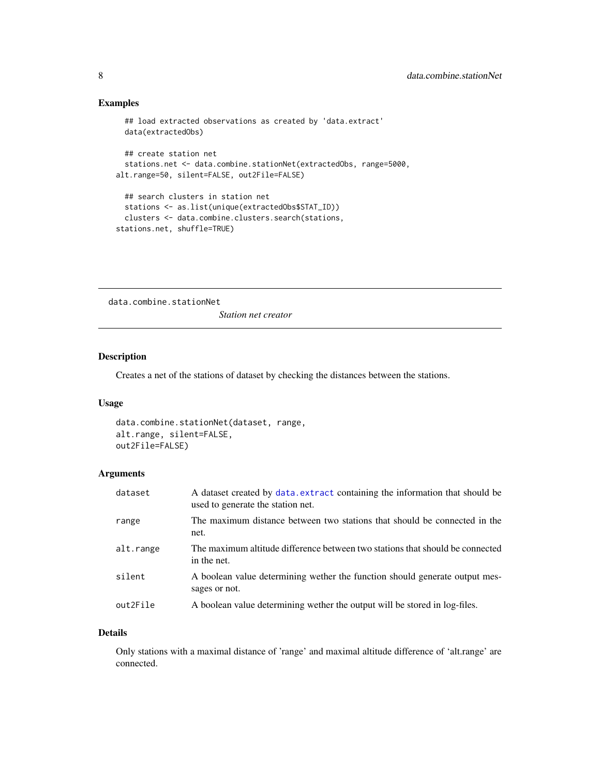### Examples

```
## load extracted observations as created by 'data.extract'
 data(extractedObs)
 ## create station net
 stations.net <- data.combine.stationNet(extractedObs, range=5000,
alt.range=50, silent=FALSE, out2File=FALSE)
 ## search clusters in station net
 stations <- as.list(unique(extractedObs$STAT_ID))
 clusters <- data.combine.clusters.search(stations,
stations.net, shuffle=TRUE)
```
<span id="page-7-1"></span>data.combine.stationNet

*Station net creator*

## Description

Creates a net of the stations of dataset by checking the distances between the stations.

### Usage

```
data.combine.stationNet(dataset, range,
alt.range, silent=FALSE,
out2File=FALSE)
```
### Arguments

| dataset   | A dataset created by data. extract containing the information that should be<br>used to generate the station net. |
|-----------|-------------------------------------------------------------------------------------------------------------------|
| range     | The maximum distance between two stations that should be connected in the<br>net.                                 |
| alt.range | The maximum altitude difference between two stations that should be connected<br>in the net.                      |
| silent    | A boolean value determining wether the function should generate output mes-<br>sages or not.                      |
| out2File  | A boolean value determining wether the output will be stored in log-files.                                        |

### Details

Only stations with a maximal distance of 'range' and maximal altitude difference of 'alt.range' are connected.

<span id="page-7-0"></span>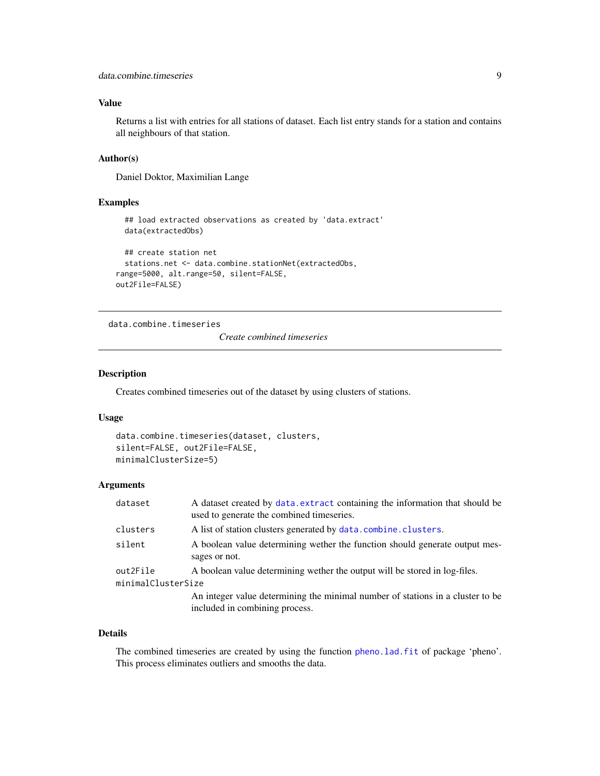### <span id="page-8-0"></span>Value

Returns a list with entries for all stations of dataset. Each list entry stands for a station and contains all neighbours of that station.

#### Author(s)

Daniel Doktor, Maximilian Lange

#### Examples

```
## load extracted observations as created by 'data.extract'
 data(extractedObs)
 ## create station net
 stations.net <- data.combine.stationNet(extractedObs,
range=5000, alt.range=50, silent=FALSE,
out2File=FALSE)
```
<span id="page-8-1"></span>data.combine.timeseries

*Create combined timeseries*

### Description

Creates combined timeseries out of the dataset by using clusters of stations.

#### Usage

```
data.combine.timeseries(dataset, clusters,
silent=FALSE, out2File=FALSE,
minimalClusterSize=5)
```
### Arguments

| dataset            | A dataset created by data. extract containing the information that should be<br>used to generate the combined timeseries. |
|--------------------|---------------------------------------------------------------------------------------------------------------------------|
| clusters           | A list of station clusters generated by data.combine.clusters.                                                            |
| silent             | A boolean value determining wether the function should generate output mes-<br>sages or not.                              |
| out2File           | A boolean value determining wether the output will be stored in log-files.                                                |
| minimalClusterSize |                                                                                                                           |
|                    | An integer value determining the minimal number of stations in a cluster to be<br>included in combining process.          |

#### Details

The combined timeseries are created by using the function [pheno.lad.fit](#page-0-0) of package 'pheno'. This process eliminates outliers and smooths the data.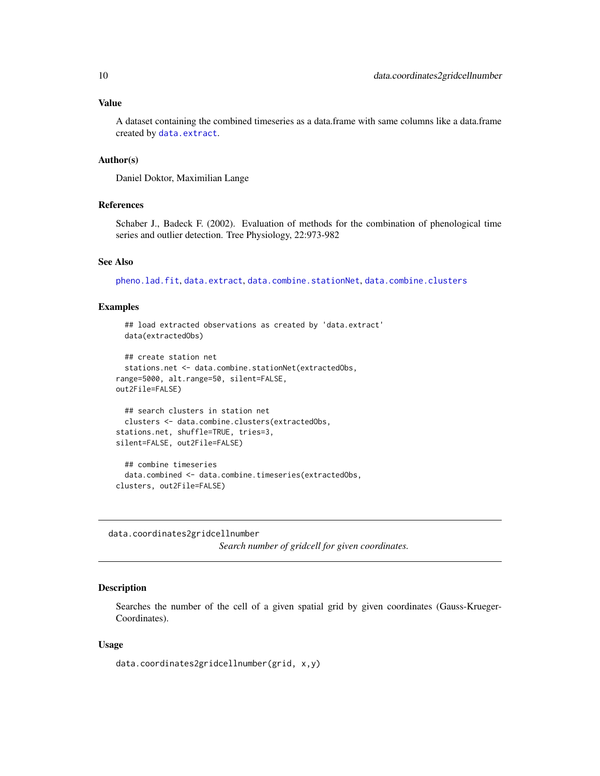#### <span id="page-9-0"></span>Value

A dataset containing the combined timeseries as a data.frame with same columns like a data.frame created by [data.extract](#page-10-1).

#### Author(s)

Daniel Doktor, Maximilian Lange

### References

Schaber J., Badeck F. (2002). Evaluation of methods for the combination of phenological time series and outlier detection. Tree Physiology, 22:973-982

#### See Also

[pheno.lad.fit](#page-0-0), [data.extract](#page-10-1), [data.combine.stationNet](#page-7-1), [data.combine.clusters](#page-5-1)

#### Examples

```
## load extracted observations as created by 'data.extract'
 data(extractedObs)
 ## create station net
 stations.net <- data.combine.stationNet(extractedObs,
range=5000, alt.range=50, silent=FALSE,
out2File=FALSE)
 ## search clusters in station net
 clusters <- data.combine.clusters(extractedObs,
stations.net, shuffle=TRUE, tries=3,
silent=FALSE, out2File=FALSE)
 ## combine timeseries
 data.combined <- data.combine.timeseries(extractedObs,
clusters, out2File=FALSE)
```
<span id="page-9-1"></span>data.coordinates2gridcellnumber *Search number of gridcell for given coordinates.*

### **Description**

Searches the number of the cell of a given spatial grid by given coordinates (Gauss-Krueger-Coordinates).

### Usage

data.coordinates2gridcellnumber(grid, x,y)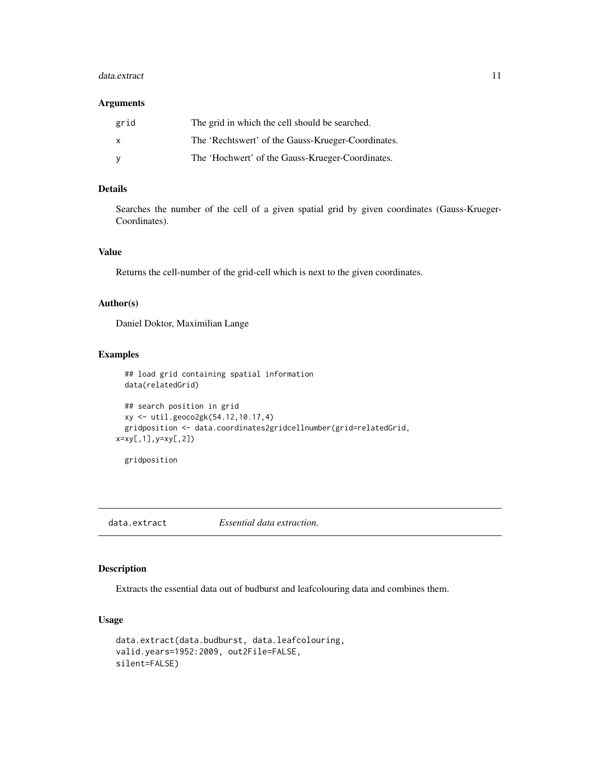#### <span id="page-10-0"></span>data.extract 11

### Arguments

| grid         | The grid in which the cell should be searched.     |
|--------------|----------------------------------------------------|
| $\mathsf{x}$ | The 'Rechtswert' of the Gauss-Krueger-Coordinates. |
| <b>V</b>     | The 'Hochwert' of the Gauss-Krueger-Coordinates.   |

### Details

Searches the number of the cell of a given spatial grid by given coordinates (Gauss-Krueger-Coordinates).

### Value

Returns the cell-number of the grid-cell which is next to the given coordinates.

### Author(s)

Daniel Doktor, Maximilian Lange

### Examples

```
## load grid containing spatial information
 data(relatedGrid)
 ## search position in grid
 xy <- util.geoco2gk(54.12,10.17,4)
 gridposition <- data.coordinates2gridcellnumber(grid=relatedGrid,
x=xy[,1],y=xy[,2])
```
gridposition

<span id="page-10-1"></span>data.extract *Essential data extraction.*

#### Description

Extracts the essential data out of budburst and leafcolouring data and combines them.

### Usage

```
data.extract(data.budburst, data.leafcolouring,
valid.years=1952:2009, out2File=FALSE,
silent=FALSE)
```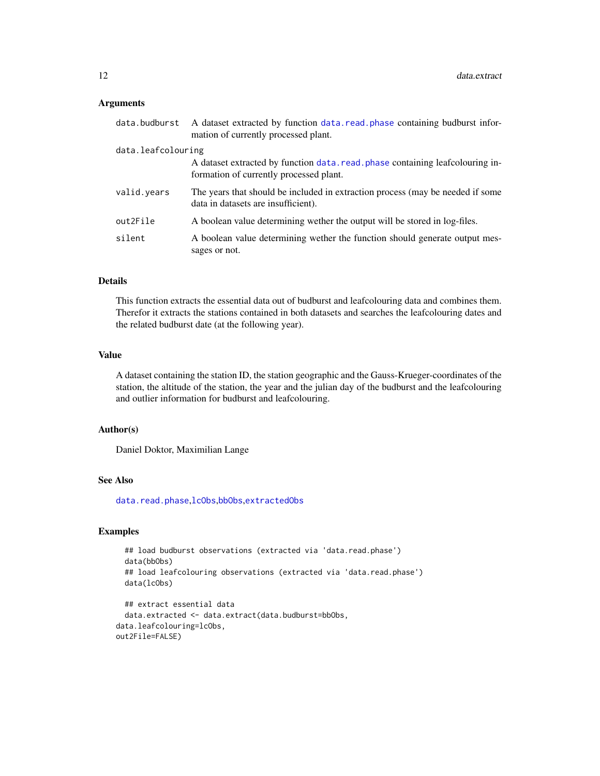#### <span id="page-11-0"></span>Arguments

| data.budburst      | A dataset extracted by function data, read, phase containing budburst infor-<br>mation of currently processed plant.      |
|--------------------|---------------------------------------------------------------------------------------------------------------------------|
| data.leafcolouring |                                                                                                                           |
|                    | A dataset extracted by function data, read, phase containing leafcolouring in-<br>formation of currently processed plant. |
| valid.years        | The years that should be included in extraction process (may be needed if some<br>data in datasets are insufficient).     |
| out2File           | A boolean value determining wether the output will be stored in log-files.                                                |
| silent             | A boolean value determining wether the function should generate output mes-<br>sages or not.                              |

### Details

This function extracts the essential data out of budburst and leafcolouring data and combines them. Therefor it extracts the stations contained in both datasets and searches the leafcolouring dates and the related budburst date (at the following year).

### Value

A dataset containing the station ID, the station geographic and the Gauss-Krueger-coordinates of the station, the altitude of the station, the year and the julian day of the budburst and the leafcolouring and outlier information for budburst and leafcolouring.

#### Author(s)

Daniel Doktor, Maximilian Lange

### See Also

[data.read.phase](#page-15-1),[lcObs](#page-17-1),[bbObs](#page-1-1),[extractedObs](#page-17-2)

#### Examples

```
## load budburst observations (extracted via 'data.read.phase')
 data(bbObs)
 ## load leafcolouring observations (extracted via 'data.read.phase')
 data(lcObs)
 ## extract essential data
 data.extracted <- data.extract(data.budburst=bbObs,
data.leafcolouring=lcObs,
out2File=FALSE)
```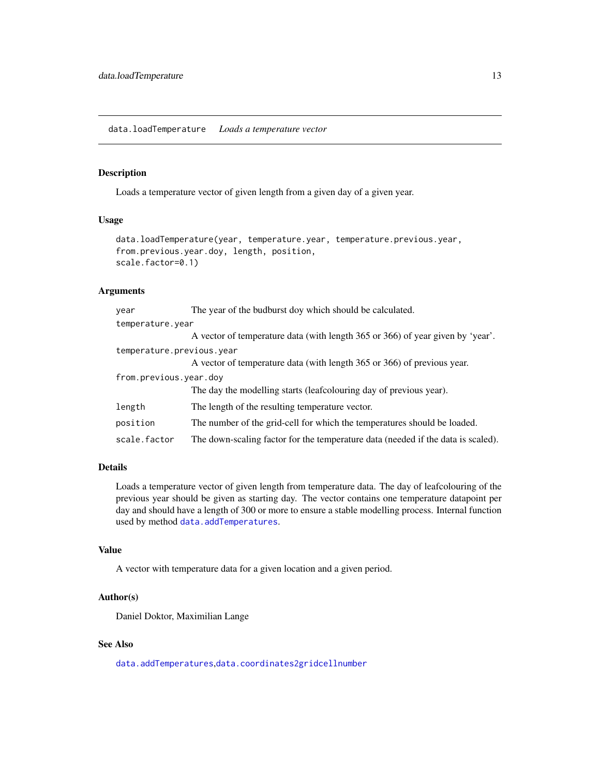### <span id="page-12-1"></span><span id="page-12-0"></span>Description

Loads a temperature vector of given length from a given day of a given year.

### Usage

```
data.loadTemperature(year, temperature.year, temperature.previous.year,
from.previous.year.doy, length, position,
scale.factor=0.1)
```
### Arguments

| year                      | The year of the budburst doy which should be calculated.                         |  |
|---------------------------|----------------------------------------------------------------------------------|--|
| temperature.year          |                                                                                  |  |
|                           | A vector of temperature data (with length 365 or 366) of year given by 'year'.   |  |
| temperature.previous.year |                                                                                  |  |
|                           | A vector of temperature data (with length 365 or 366) of previous year.          |  |
| from.previous.year.doy    |                                                                                  |  |
|                           | The day the modelling starts (leafcolouring day of previous year).               |  |
| length                    | The length of the resulting temperature vector.                                  |  |
| position                  | The number of the grid-cell for which the temperatures should be loaded.         |  |
| scale.factor              | The down-scaling factor for the temperature data (needed if the data is scaled). |  |

### Details

Loads a temperature vector of given length from temperature data. The day of leafcolouring of the previous year should be given as starting day. The vector contains one temperature datapoint per day and should have a length of 300 or more to ensure a stable modelling process. Internal function used by method [data.addTemperatures](#page-2-1).

### Value

A vector with temperature data for a given location and a given period.

### Author(s)

Daniel Doktor, Maximilian Lange

#### See Also

[data.addTemperatures](#page-2-1),[data.coordinates2gridcellnumber](#page-9-1)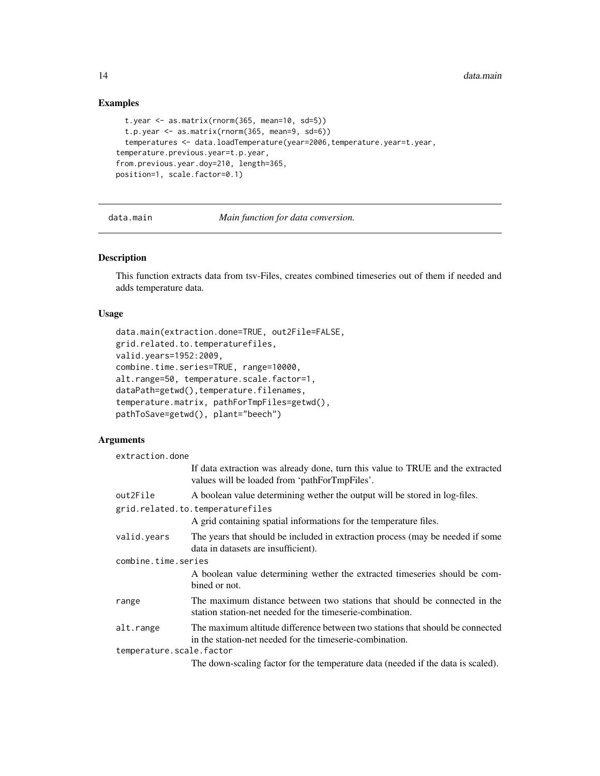### Examples

```
t.year <- as.matrix(rnorm(365, mean=10, sd=5))
 t.p.year <- as.matrix(rnorm(365, mean=9, sd=6))
 temperatures <- data.loadTemperature(year=2006,temperature.year=t.year,
temperature.previous.year=t.p.year,
from.previous.year.doy=210, length=365,
position=1, scale.factor=0.1)
```
<span id="page-13-1"></span>data.main *Main function for data conversion.*

### Description

This function extracts data from tsv-Files, creates combined timeseries out of them if needed and adds temperature data.

### Usage

```
data.main(extraction.done=TRUE, out2File=FALSE,
grid.related.to.temperaturefiles,
valid.years=1952:2009,
combine.time.series=TRUE, range=10000,
alt.range=50, temperature.scale.factor=1,
dataPath=getwd(),temperature.filenames,
temperature.matrix, pathForTmpFiles=getwd(),
pathToSave=getwd(), plant="beech")
```
#### Arguments

| extraction.done          |                                                                                                                                           |  |
|--------------------------|-------------------------------------------------------------------------------------------------------------------------------------------|--|
|                          | If data extraction was already done, turn this value to TRUE and the extracted<br>values will be loaded from 'pathForTmpFiles'.           |  |
| out2File                 | A boolean value determining wether the output will be stored in log-files.                                                                |  |
|                          | grid.related.to.temperaturefiles                                                                                                          |  |
|                          | A grid containing spatial informations for the temperature files.                                                                         |  |
| valid.years              | The years that should be included in extraction process (may be needed if some<br>data in datasets are insufficient).                     |  |
| combine.time.series      |                                                                                                                                           |  |
|                          | A boolean value determining wether the extracted timeseries should be com-<br>bined or not.                                               |  |
| range                    | The maximum distance between two stations that should be connected in the<br>station station-net needed for the timeserie-combination.    |  |
| alt.range                | The maximum altitude difference between two stations that should be connected<br>in the station-net needed for the timeserie-combination. |  |
| temperature.scale.factor |                                                                                                                                           |  |
|                          | The down-scaling factor for the temperature data (needed if the data is scaled).                                                          |  |

<span id="page-13-0"></span>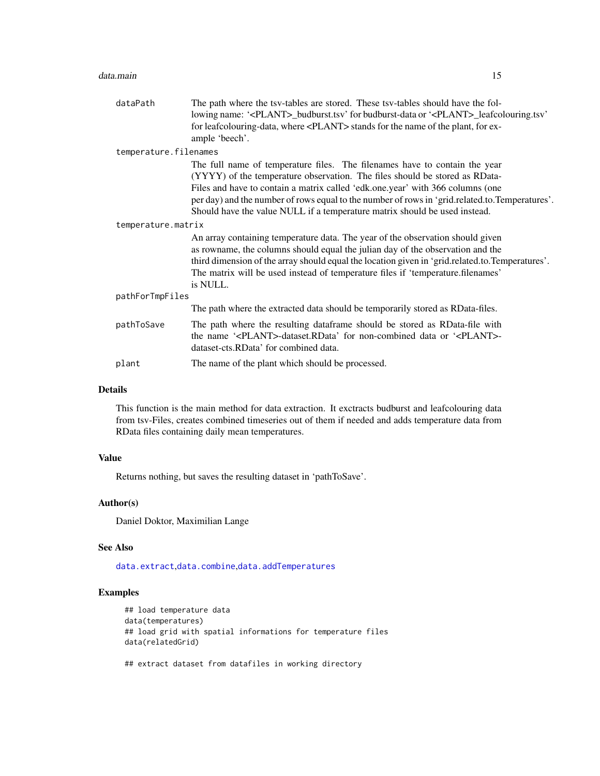#### <span id="page-14-0"></span>data.main 15

| dataPath              | The path where the tsv-tables are stored. These tsv-tables should have the fol-<br>lowing name: ' <plant>_budburst.tsv' for budburst-data or '<plant>_leafcolouring.tsv'</plant></plant>                                                                                                                                                                                                                                    |  |
|-----------------------|-----------------------------------------------------------------------------------------------------------------------------------------------------------------------------------------------------------------------------------------------------------------------------------------------------------------------------------------------------------------------------------------------------------------------------|--|
|                       | for leafcolouring-data, where <plant> stands for the name of the plant, for ex-<br/>ample 'beech'.</plant>                                                                                                                                                                                                                                                                                                                  |  |
| temperature.filenames |                                                                                                                                                                                                                                                                                                                                                                                                                             |  |
|                       | The full name of temperature files. The filenames have to contain the year<br>(YYYY) of the temperature observation. The files should be stored as RData-<br>Files and have to contain a matrix called 'edk.one.year' with 366 columns (one<br>per day) and the number of rows equal to the number of rows in 'grid.related.to.Temperatures'.<br>Should have the value NULL if a temperature matrix should be used instead. |  |
| temperature.matrix    |                                                                                                                                                                                                                                                                                                                                                                                                                             |  |
|                       | An array containing temperature data. The year of the observation should given<br>as rowname, the columns should equal the julian day of the observation and the<br>third dimension of the array should equal the location given in 'grid.related.to.Temperatures'.<br>The matrix will be used instead of temperature files if 'temperature.filenames'<br>is NULL.                                                          |  |
| pathForTmpFiles       |                                                                                                                                                                                                                                                                                                                                                                                                                             |  |
|                       | The path where the extracted data should be temporarily stored as RData-files.                                                                                                                                                                                                                                                                                                                                              |  |
| pathToSave            | The path where the resulting dataframe should be stored as RData-file with<br>the name ' <plant>-dataset.RData' for non-combined data or '<plant>-<br/>dataset-cts.RData' for combined data.</plant></plant>                                                                                                                                                                                                                |  |
| plant                 | The name of the plant which should be processed.                                                                                                                                                                                                                                                                                                                                                                            |  |

### Details

This function is the main method for data extraction. It exctracts budburst and leafcolouring data from tsv-Files, creates combined timeseries out of them if needed and adds temperature data from RData files containing daily mean temperatures.

### Value

Returns nothing, but saves the resulting dataset in 'pathToSave'.

### Author(s)

Daniel Doktor, Maximilian Lange

## See Also

[data.extract](#page-10-1),[data.combine](#page-3-1),[data.addTemperatures](#page-2-1)

### Examples

```
## load temperature data
data(temperatures)
## load grid with spatial informations for temperature files
data(relatedGrid)
```
## extract dataset from datafiles in working directory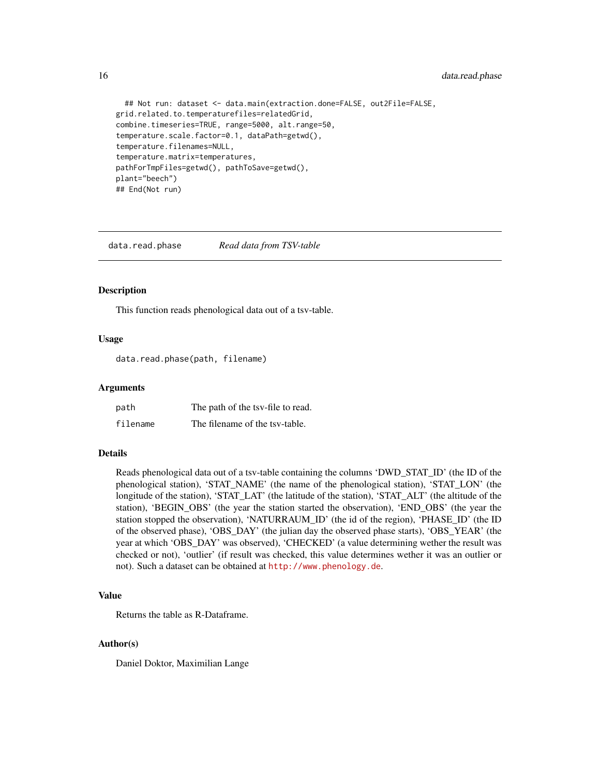```
## Not run: dataset <- data.main(extraction.done=FALSE, out2File=FALSE,
grid.related.to.temperaturefiles=relatedGrid,
combine.timeseries=TRUE, range=5000, alt.range=50,
temperature.scale.factor=0.1, dataPath=getwd(),
temperature.filenames=NULL,
temperature.matrix=temperatures,
pathForTmpFiles=getwd(), pathToSave=getwd(),
plant="beech")
## End(Not run)
```
<span id="page-15-1"></span>data.read.phase *Read data from TSV-table*

#### Description

This function reads phenological data out of a tsv-table.

### Usage

data.read.phase(path, filename)

#### Arguments

| path     | The path of the tsy-file to read. |
|----------|-----------------------------------|
| filename | The filename of the tsy-table.    |

### Details

Reads phenological data out of a tsv-table containing the columns 'DWD\_STAT\_ID' (the ID of the phenological station), 'STAT\_NAME' (the name of the phenological station), 'STAT\_LON' (the longitude of the station), 'STAT\_LAT' (the latitude of the station), 'STAT\_ALT' (the altitude of the station), 'BEGIN\_OBS' (the year the station started the observation), 'END\_OBS' (the year the station stopped the observation), 'NATURRAUM\_ID' (the id of the region), 'PHASE\_ID' (the ID of the observed phase), 'OBS\_DAY' (the julian day the observed phase starts), 'OBS\_YEAR' (the year at which 'OBS\_DAY' was observed), 'CHECKED' (a value determining wether the result was checked or not), 'outlier' (if result was checked, this value determines wether it was an outlier or not). Such a dataset can be obtained at <http://www.phenology.de>.

#### Value

Returns the table as R-Dataframe.

#### Author(s)

Daniel Doktor, Maximilian Lange

<span id="page-15-0"></span>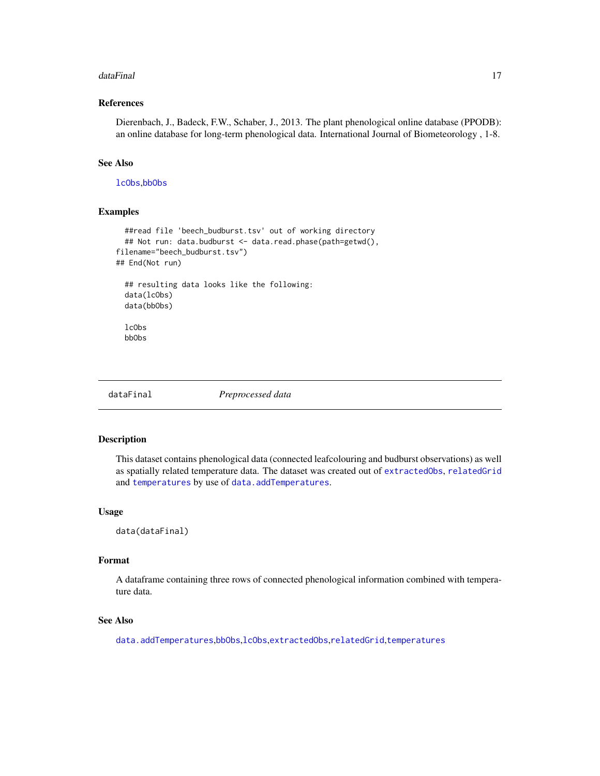#### <span id="page-16-0"></span>dataFinal 17

### References

Dierenbach, J., Badeck, F.W., Schaber, J., 2013. The plant phenological online database (PPODB): an online database for long-term phenological data. International Journal of Biometeorology , 1-8.

#### See Also

[lcObs](#page-17-1),[bbObs](#page-1-1)

#### Examples

```
##read file 'beech_budburst.tsv' out of working directory
 ## Not run: data.budburst <- data.read.phase(path=getwd(),
filename="beech_budburst.tsv")
## End(Not run)
 ## resulting data looks like the following:
 data(lcObs)
 data(bbObs)
 lcObs
 bbObs
```
dataFinal *Preprocessed data*

#### Description

This dataset contains phenological data (connected leafcolouring and budburst observations) as well as spatially related temperature data. The dataset was created out of [extractedObs](#page-17-2), [relatedGrid](#page-19-1) and [temperatures](#page-32-1) by use of [data.addTemperatures](#page-2-1).

#### Usage

data(dataFinal)

### Format

A dataframe containing three rows of connected phenological information combined with temperature data.

#### See Also

[data.addTemperatures](#page-2-1),[bbObs](#page-1-1),[lcObs](#page-17-1),[extractedObs](#page-17-2),[relatedGrid](#page-19-1),[temperatures](#page-32-1)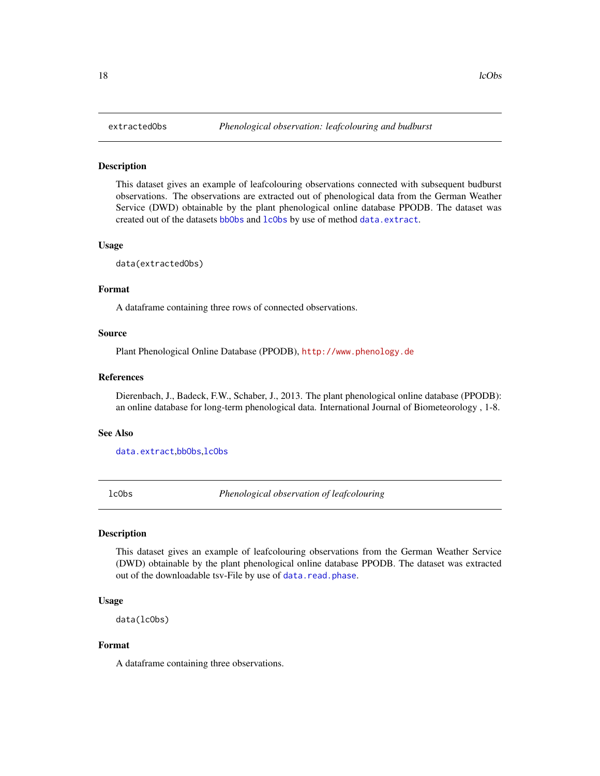<span id="page-17-2"></span><span id="page-17-0"></span>

#### Description

This dataset gives an example of leafcolouring observations connected with subsequent budburst observations. The observations are extracted out of phenological data from the German Weather Service (DWD) obtainable by the plant phenological online database PPODB. The dataset was created out of the datasets [bbObs](#page-1-1) and [lcObs](#page-17-1) by use of method [data.extract](#page-10-1).

#### Usage

data(extractedObs)

#### Format

A dataframe containing three rows of connected observations.

#### Source

Plant Phenological Online Database (PPODB), <http://www.phenology.de>

#### References

Dierenbach, J., Badeck, F.W., Schaber, J., 2013. The plant phenological online database (PPODB): an online database for long-term phenological data. International Journal of Biometeorology , 1-8.

#### See Also

[data.extract](#page-10-1),[bbObs](#page-1-1),[lcObs](#page-17-1)

<span id="page-17-1"></span>

lcObs *Phenological observation of leafcolouring*

### **Description**

This dataset gives an example of leafcolouring observations from the German Weather Service (DWD) obtainable by the plant phenological online database PPODB. The dataset was extracted out of the downloadable tsv-File by use of [data.read.phase](#page-15-1).

#### Usage

data(lcObs)

#### Format

A dataframe containing three observations.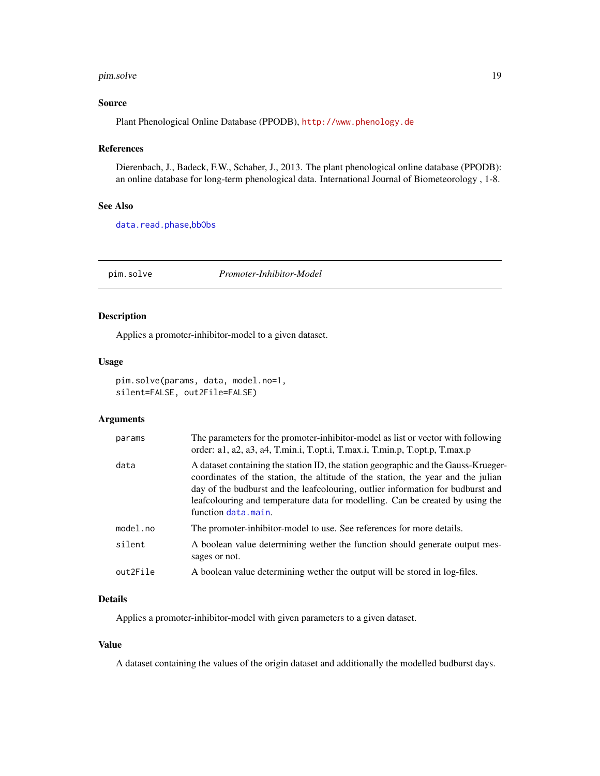#### <span id="page-18-0"></span>pim.solve the contract of the contract of the contract of the contract of the contract of the contract of the contract of the contract of the contract of the contract of the contract of the contract of the contract of the

### Source

Plant Phenological Online Database (PPODB), <http://www.phenology.de>

#### References

Dierenbach, J., Badeck, F.W., Schaber, J., 2013. The plant phenological online database (PPODB): an online database for long-term phenological data. International Journal of Biometeorology , 1-8.

### See Also

[data.read.phase](#page-15-1),[bbObs](#page-1-1)

<span id="page-18-1"></span>pim.solve *Promoter-Inhibitor-Model*

#### Description

Applies a promoter-inhibitor-model to a given dataset.

#### Usage

```
pim.solve(params, data, model.no=1,
silent=FALSE, out2File=FALSE)
```
### Arguments

| params   | The parameters for the promoter-inhibitor-model as list or vector with following<br>order: a1, a2, a3, a4, T.min.i, T.opt.i, T.max.i, T.min.p, T.opt.p, T.max.p                                                                                                                                                                                                    |
|----------|--------------------------------------------------------------------------------------------------------------------------------------------------------------------------------------------------------------------------------------------------------------------------------------------------------------------------------------------------------------------|
| data     | A dataset containing the station ID, the station geographic and the Gauss-Krueger-<br>coordinates of the station, the altitude of the station, the year and the julian<br>day of the budburst and the leaf colouring, outlier information for budburst and<br>leafcolouring and temperature data for modelling. Can be created by using the<br>function data.main. |
| model.no | The promoter-inhibitor-model to use. See references for more details.                                                                                                                                                                                                                                                                                              |
| silent   | A boolean value determining wether the function should generate output mes-<br>sages or not.                                                                                                                                                                                                                                                                       |
| out2File | A boolean value determining wether the output will be stored in log-files.                                                                                                                                                                                                                                                                                         |

### Details

Applies a promoter-inhibitor-model with given parameters to a given dataset.

### Value

A dataset containing the values of the origin dataset and additionally the modelled budburst days.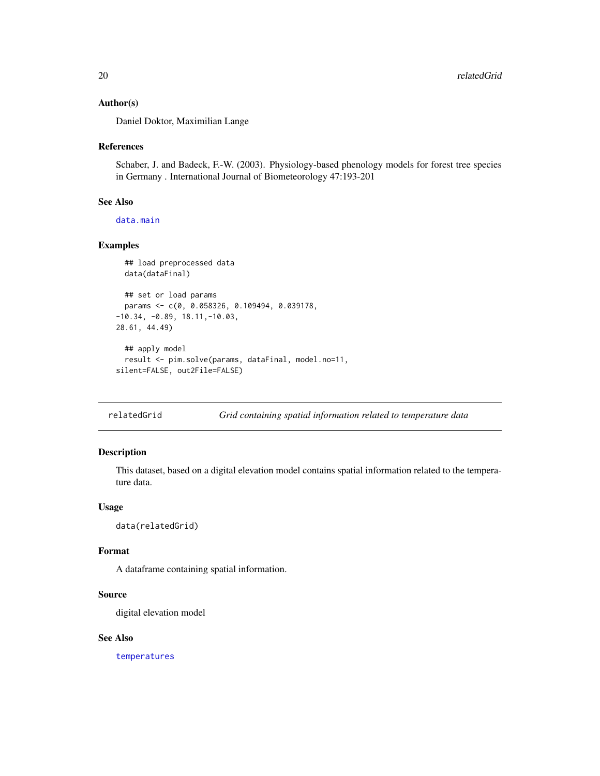#### <span id="page-19-0"></span>Author(s)

Daniel Doktor, Maximilian Lange

#### References

Schaber, J. and Badeck, F.-W. (2003). Physiology-based phenology models for forest tree species in Germany . International Journal of Biometeorology 47:193-201

#### See Also

[data.main](#page-13-1)

#### Examples

```
## load preprocessed data
 data(dataFinal)
 ## set or load params
 params <- c(0, 0.058326, 0.109494, 0.039178,
-10.34, -0.89, 18.11,-10.03,
28.61, 44.49)
 ## apply model
 result <- pim.solve(params, dataFinal, model.no=11,
silent=FALSE, out2File=FALSE)
```
<span id="page-19-1"></span>relatedGrid *Grid containing spatial information related to temperature data*

### Description

This dataset, based on a digital elevation model contains spatial information related to the temperature data.

### Usage

```
data(relatedGrid)
```
#### Format

A dataframe containing spatial information.

#### Source

digital elevation model

#### See Also

[temperatures](#page-32-1)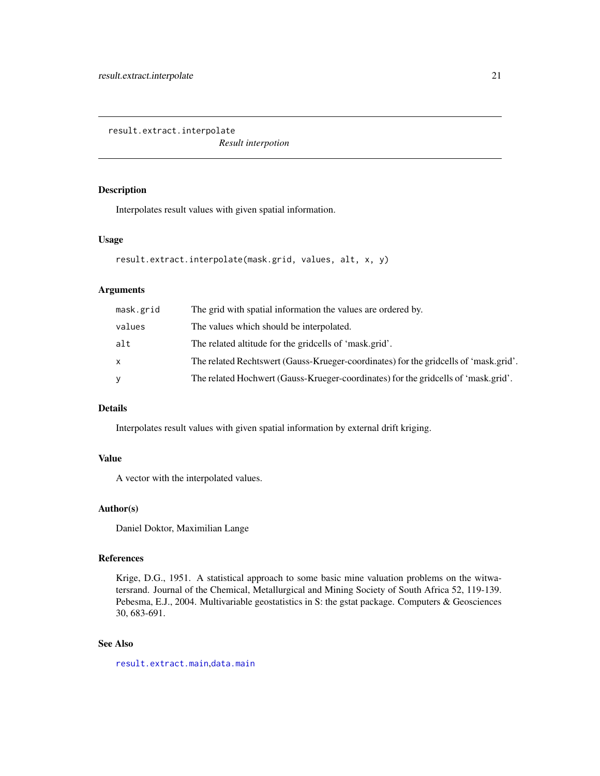<span id="page-20-1"></span><span id="page-20-0"></span>result.extract.interpolate

*Result interpotion*

### Description

Interpolates result values with given spatial information.

#### Usage

```
result.extract.interpolate(mask.grid, values, alt, x, y)
```
### Arguments

| mask.grid | The grid with spatial information the values are ordered by.                         |
|-----------|--------------------------------------------------------------------------------------|
| values    | The values which should be interpolated.                                             |
| alt       | The related altitude for the gridcells of 'mask.grid'.                               |
| X         | The related Rechtswert (Gauss-Krueger-coordinates) for the gridcells of 'mask.grid'. |
| y         | The related Hochwert (Gauss-Krueger-coordinates) for the gridcells of 'mask.grid'.   |
|           |                                                                                      |

### Details

Interpolates result values with given spatial information by external drift kriging.

### Value

A vector with the interpolated values.

#### Author(s)

Daniel Doktor, Maximilian Lange

#### References

Krige, D.G., 1951. A statistical approach to some basic mine valuation problems on the witwatersrand. Journal of the Chemical, Metallurgical and Mining Society of South Africa 52, 119-139. Pebesma, E.J., 2004. Multivariable geostatistics in S: the gstat package. Computers & Geosciences 30, 683-691.

### See Also

[result.extract.main](#page-21-1),[data.main](#page-13-1)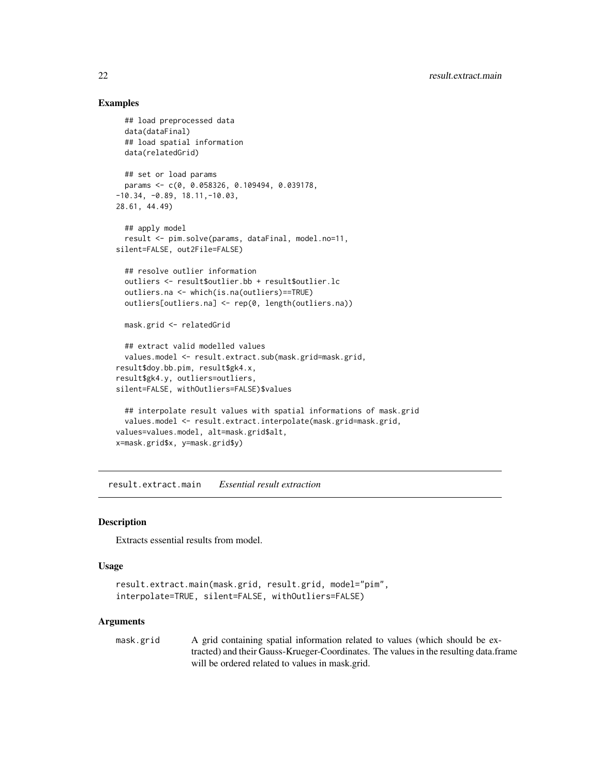### Examples

```
## load preprocessed data
 data(dataFinal)
 ## load spatial information
 data(relatedGrid)
 ## set or load params
 params <- c(0, 0.058326, 0.109494, 0.039178,
-10.34, -0.89, 18.11, -10.03,28.61, 44.49)
 ## apply model
 result <- pim.solve(params, dataFinal, model.no=11,
silent=FALSE, out2File=FALSE)
 ## resolve outlier information
 outliers <- result$outlier.bb + result$outlier.lc
 outliers.na <- which(is.na(outliers)==TRUE)
 outliers[outliers.na] <- rep(0, length(outliers.na))
 mask.grid <- relatedGrid
 ## extract valid modelled values
 values.model <- result.extract.sub(mask.grid=mask.grid,
result$doy.bb.pim, result$gk4.x,
result$gk4.y, outliers=outliers,
silent=FALSE, withOutliers=FALSE)$values
 ## interpolate result values with spatial informations of mask.grid
 values.model <- result.extract.interpolate(mask.grid=mask.grid,
values=values.model, alt=mask.grid$alt,
x=mask.grid$x, y=mask.grid$y)
```
<span id="page-21-1"></span>result.extract.main *Essential result extraction*

#### Description

Extracts essential results from model.

#### Usage

```
result.extract.main(mask.grid, result.grid, model="pim",
interpolate=TRUE, silent=FALSE, withOutliers=FALSE)
```
#### **Arguments**

mask.grid A grid containing spatial information related to values (which should be extracted) and their Gauss-Krueger-Coordinates. The values in the resulting data.frame will be ordered related to values in mask.grid.

<span id="page-21-0"></span>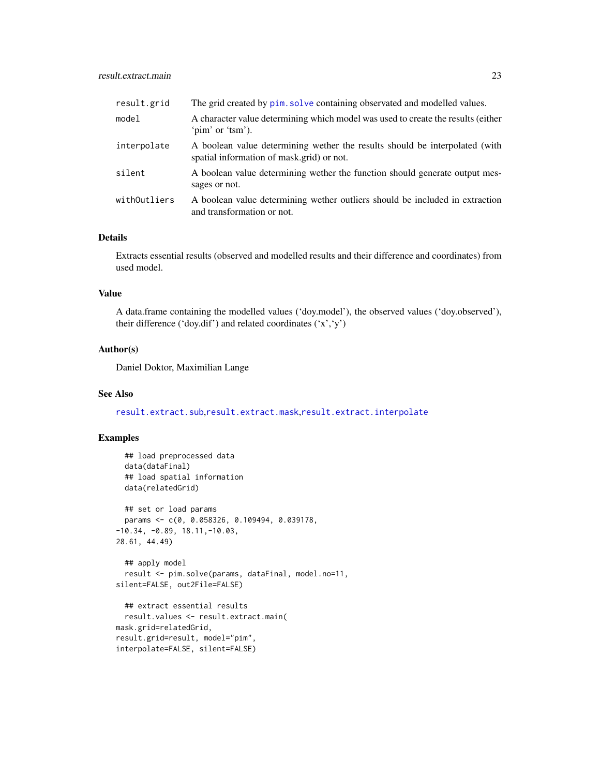<span id="page-22-0"></span>

| result.grid  | The grid created by pim. solve containing observated and modelled values.                                                |
|--------------|--------------------------------------------------------------------------------------------------------------------------|
| model        | A character value determining which model was used to create the results (either<br>'pim' or 'tsm').                     |
| interpolate  | A boolean value determining wether the results should be interpolated (with<br>spatial information of mask.grid) or not. |
| silent       | A boolean value determining wether the function should generate output mes-<br>sages or not.                             |
| withOutliers | A boolean value determining wether outliers should be included in extraction<br>and transformation or not.               |

### Details

Extracts essential results (observed and modelled results and their difference and coordinates) from used model.

### Value

A data.frame containing the modelled values ('doy.model'), the observed values ('doy.observed'), their difference ('doy.dif') and related coordinates ('x','y')

### Author(s)

Daniel Doktor, Maximilian Lange

### See Also

[result.extract.sub](#page-24-1),[result.extract.mask](#page-23-1),[result.extract.interpolate](#page-20-1)

### Examples

```
## load preprocessed data
 data(dataFinal)
 ## load spatial information
 data(relatedGrid)
 ## set or load params
 params <- c(0, 0.058326, 0.109494, 0.039178,
-10.34, -0.89, 18.11,-10.03,
28.61, 44.49)
 ## apply model
 result <- pim.solve(params, dataFinal, model.no=11,
silent=FALSE, out2File=FALSE)
 ## extract essential results
 result.values <- result.extract.main(
mask.grid=relatedGrid,
result.grid=result, model="pim",
interpolate=FALSE, silent=FALSE)
```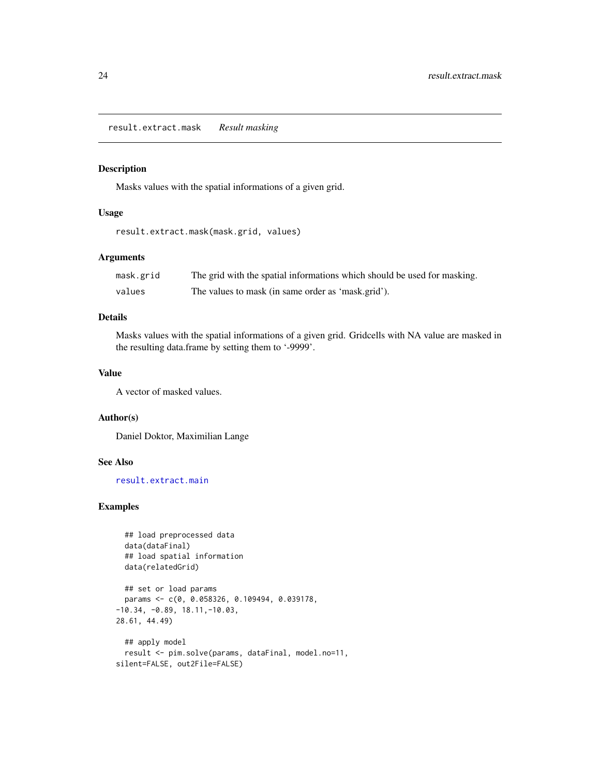<span id="page-23-1"></span><span id="page-23-0"></span>result.extract.mask *Result masking*

### Description

Masks values with the spatial informations of a given grid.

#### Usage

```
result.extract.mask(mask.grid, values)
```
### Arguments

| mask.grid | The grid with the spatial informations which should be used for masking. |
|-----------|--------------------------------------------------------------------------|
| values    | The values to mask (in same order as 'mask.grid').                       |

### Details

Masks values with the spatial informations of a given grid. Gridcells with NA value are masked in the resulting data.frame by setting them to '-9999'.

### Value

A vector of masked values.

#### Author(s)

Daniel Doktor, Maximilian Lange

### See Also

[result.extract.main](#page-21-1)

### Examples

```
## load preprocessed data
 data(dataFinal)
 ## load spatial information
 data(relatedGrid)
 ## set or load params
 params <- c(0, 0.058326, 0.109494, 0.039178,
-10.34, -0.89, 18.11,-10.03,
28.61, 44.49)
 ## apply model
 result <- pim.solve(params, dataFinal, model.no=11,
silent=FALSE, out2File=FALSE)
```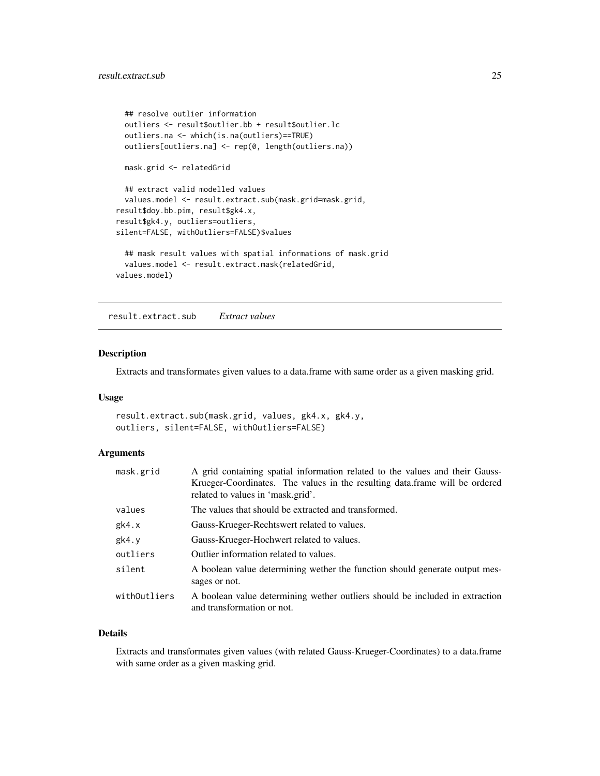```
## resolve outlier information
 outliers <- result$outlier.bb + result$outlier.lc
 outliers.na <- which(is.na(outliers)==TRUE)
 outliers[outliers.na] <- rep(0, length(outliers.na))
 mask.grid <- relatedGrid
 ## extract valid modelled values
 values.model <- result.extract.sub(mask.grid=mask.grid,
result$doy.bb.pim, result$gk4.x,
result$gk4.y, outliers=outliers,
silent=FALSE, withOutliers=FALSE)$values
 ## mask result values with spatial informations of mask.grid
 values.model <- result.extract.mask(relatedGrid,
values.model)
```
<span id="page-24-1"></span>result.extract.sub *Extract values*

#### Description

Extracts and transformates given values to a data.frame with same order as a given masking grid.

#### Usage

```
result.extract.sub(mask.grid, values, gk4.x, gk4.y,
outliers, silent=FALSE, withOutliers=FALSE)
```
### Arguments

| mask.grid    | A grid containing spatial information related to the values and their Gauss-<br>Krueger-Coordinates. The values in the resulting data.frame will be ordered<br>related to values in 'mask.grid'. |
|--------------|--------------------------------------------------------------------------------------------------------------------------------------------------------------------------------------------------|
| values       | The values that should be extracted and transformed.                                                                                                                                             |
| gk4.x        | Gauss-Krueger-Rechtswert related to values.                                                                                                                                                      |
| gk4. y       | Gauss-Krueger-Hochwert related to values.                                                                                                                                                        |
| outliers     | Outlier information related to values.                                                                                                                                                           |
| silent       | A boolean value determining wether the function should generate output mes-<br>sages or not.                                                                                                     |
| withOutliers | A boolean value determining wether outliers should be included in extraction<br>and transformation or not.                                                                                       |

#### Details

Extracts and transformates given values (with related Gauss-Krueger-Coordinates) to a data.frame with same order as a given masking grid.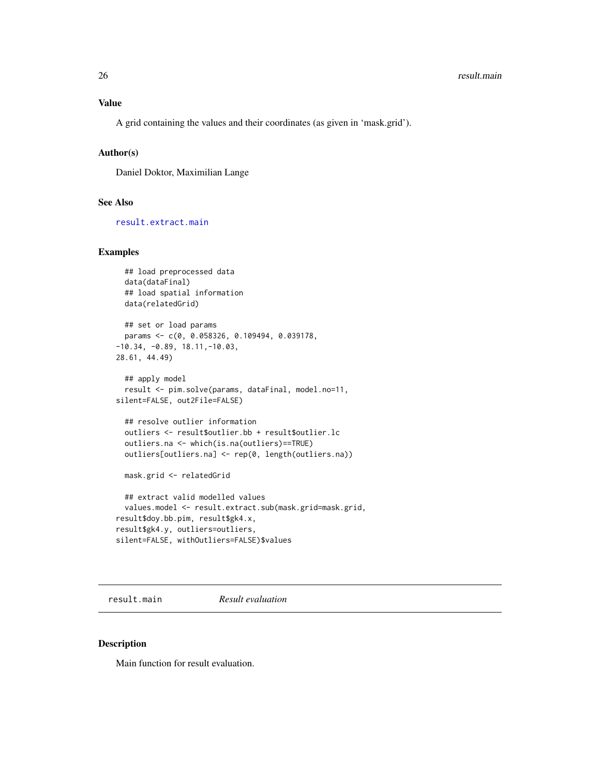<span id="page-25-0"></span>A grid containing the values and their coordinates (as given in 'mask.grid').

#### Author(s)

Daniel Doktor, Maximilian Lange

### See Also

[result.extract.main](#page-21-1)

### Examples

```
## load preprocessed data
 data(dataFinal)
 ## load spatial information
 data(relatedGrid)
 ## set or load params
 params <- c(0, 0.058326, 0.109494, 0.039178,
-10.34, -0.89, 18.11,-10.03,
28.61, 44.49)
 ## apply model
 result <- pim.solve(params, dataFinal, model.no=11,
silent=FALSE, out2File=FALSE)
 ## resolve outlier information
 outliers <- result$outlier.bb + result$outlier.lc
 outliers.na <- which(is.na(outliers)==TRUE)
 outliers[outliers.na] <- rep(0, length(outliers.na))
 mask.grid <- relatedGrid
 ## extract valid modelled values
 values.model <- result.extract.sub(mask.grid=mask.grid,
result$doy.bb.pim, result$gk4.x,
result$gk4.y, outliers=outliers,
silent=FALSE, withOutliers=FALSE)$values
```
<span id="page-25-1"></span>result.main *Result evaluation*

#### Description

Main function for result evaluation.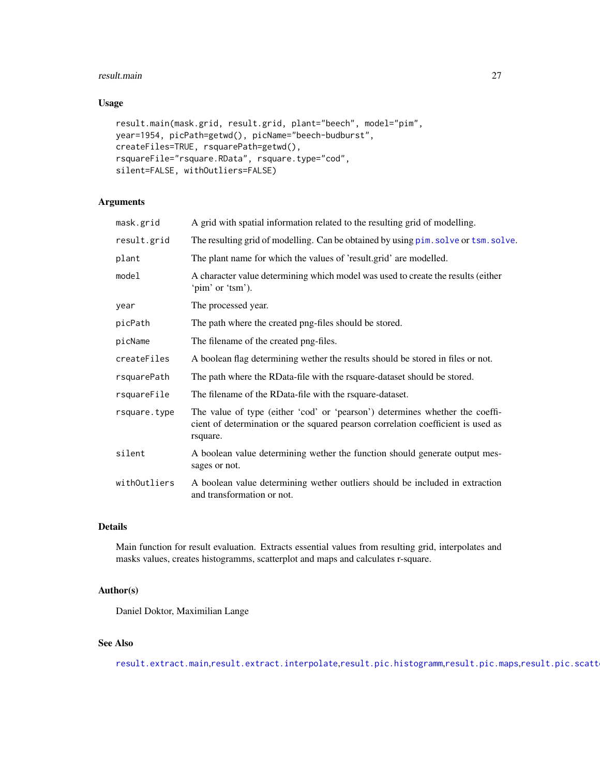#### <span id="page-26-0"></span>result.main 27

### Usage

```
result.main(mask.grid, result.grid, plant="beech", model="pim",
year=1954, picPath=getwd(), picName="beech-budburst",
createFiles=TRUE, rsquarePath=getwd(),
rsquareFile="rsquare.RData", rsquare.type="cod",
silent=FALSE, withOutliers=FALSE)
```
### Arguments

| A grid with spatial information related to the resulting grid of modelling.                                                                                                  |
|------------------------------------------------------------------------------------------------------------------------------------------------------------------------------|
| The resulting grid of modelling. Can be obtained by using pim. solve or tsm. solve.                                                                                          |
| The plant name for which the values of 'result.grid' are modelled.                                                                                                           |
| A character value determining which model was used to create the results (either<br>'pim' or 'tsm').                                                                         |
| The processed year.                                                                                                                                                          |
| The path where the created png-files should be stored.                                                                                                                       |
| The filename of the created png-files.                                                                                                                                       |
| A boolean flag determining wether the results should be stored in files or not.                                                                                              |
| The path where the RData-file with the rsquare-dataset should be stored.                                                                                                     |
| The filename of the RData-file with the rsquare-dataset.                                                                                                                     |
| The value of type (either 'cod' or 'pearson') determines whether the coeffi-<br>cient of determination or the squared pearson correlation coefficient is used as<br>rsquare. |
| A boolean value determining wether the function should generate output mes-<br>sages or not.                                                                                 |
| A boolean value determining wether outliers should be included in extraction<br>and transformation or not.                                                                   |
|                                                                                                                                                                              |

### Details

Main function for result evaluation. Extracts essential values from resulting grid, interpolates and masks values, creates histogramms, scatterplot and maps and calculates r-square.

### Author(s)

Daniel Doktor, Maximilian Lange

## See Also

[result.extract.main](#page-21-1),[result.extract.interpolate](#page-20-1),[result.pic.histogramm](#page-27-1),[result.pic.maps](#page-28-1),result.pic.scatt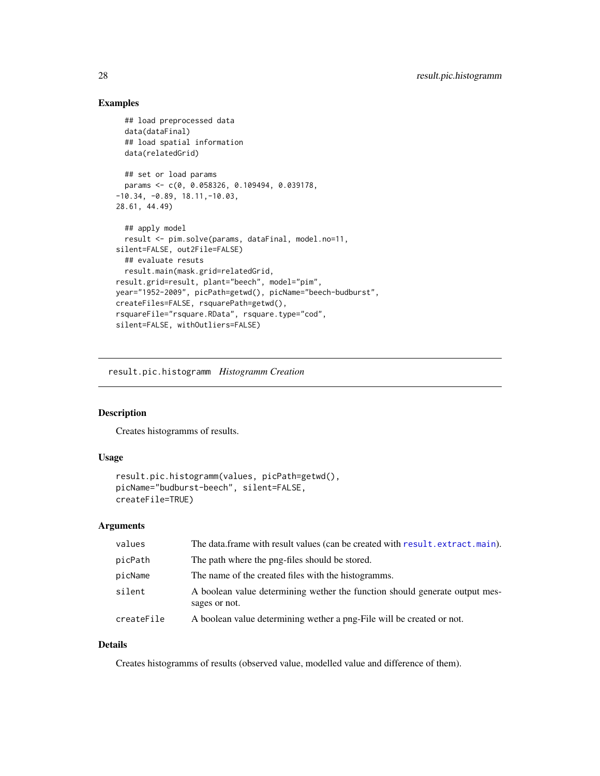### Examples

```
## load preprocessed data
 data(dataFinal)
 ## load spatial information
 data(relatedGrid)
 ## set or load params
 params <- c(0, 0.058326, 0.109494, 0.039178,
-10.34, -0.89, 18.11, -10.03,28.61, 44.49)
 ## apply model
 result <- pim.solve(params, dataFinal, model.no=11,
silent=FALSE, out2File=FALSE)
 ## evaluate resuts
 result.main(mask.grid=relatedGrid,
result.grid=result, plant="beech", model="pim",
year="1952-2009", picPath=getwd(), picName="beech-budburst",
createFiles=FALSE, rsquarePath=getwd(),
rsquareFile="rsquare.RData", rsquare.type="cod",
silent=FALSE, withOutliers=FALSE)
```
<span id="page-27-1"></span>result.pic.histogramm *Histogramm Creation*

### Description

Creates histogramms of results.

#### Usage

```
result.pic.histogramm(values, picPath=getwd(),
picName="budburst-beech", silent=FALSE,
createFile=TRUE)
```
#### Arguments

| values     | The data.frame with result values (can be created with result.extract.main).                 |
|------------|----------------------------------------------------------------------------------------------|
| picPath    | The path where the png-files should be stored.                                               |
| picName    | The name of the created files with the histogramms.                                          |
| silent     | A boolean value determining wether the function should generate output mes-<br>sages or not. |
| createFile | A boolean value determining wether a png-File will be created or not.                        |

### Details

Creates histogramms of results (observed value, modelled value and difference of them).

<span id="page-27-0"></span>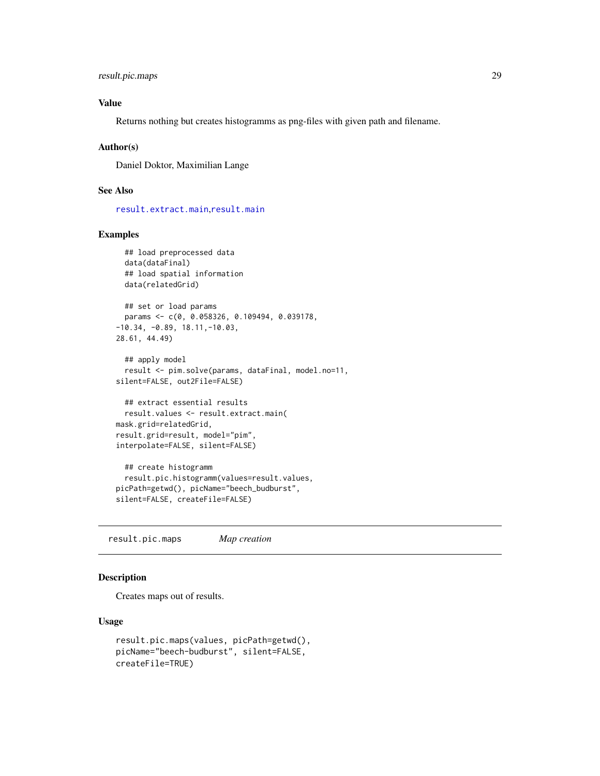```
result.pic.maps 29
```
### Value

Returns nothing but creates histogramms as png-files with given path and filename.

#### Author(s)

Daniel Doktor, Maximilian Lange

#### See Also

[result.extract.main](#page-21-1),[result.main](#page-25-1)

#### Examples

```
## load preprocessed data
 data(dataFinal)
 ## load spatial information
 data(relatedGrid)
 ## set or load params
 params <- c(0, 0.058326, 0.109494, 0.039178,
-10.34, -0.89, 18.11,-10.03,
28.61, 44.49)
 ## apply model
 result <- pim.solve(params, dataFinal, model.no=11,
silent=FALSE, out2File=FALSE)
 ## extract essential results
 result.values <- result.extract.main(
mask.grid=relatedGrid,
result.grid=result, model="pim",
interpolate=FALSE, silent=FALSE)
 ## create histogramm
 result.pic.histogramm(values=result.values,
picPath=getwd(), picName="beech_budburst",
silent=FALSE, createFile=FALSE)
```
<span id="page-28-1"></span>result.pic.maps *Map creation*

#### Description

Creates maps out of results.

#### Usage

```
result.pic.maps(values, picPath=getwd(),
picName="beech-budburst", silent=FALSE,
createFile=TRUE)
```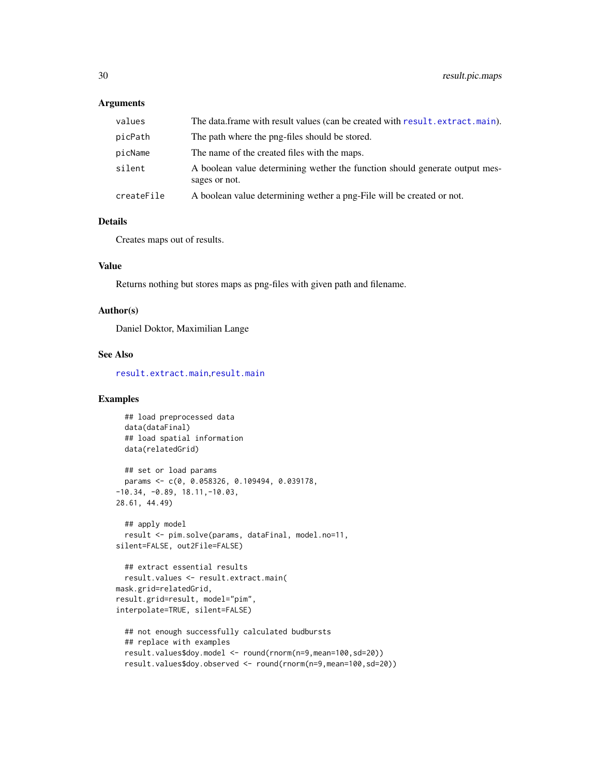#### <span id="page-29-0"></span>**Arguments**

| values     | The data frame with result values (can be created with result. extract. main).               |
|------------|----------------------------------------------------------------------------------------------|
| picPath    | The path where the png-files should be stored.                                               |
| picName    | The name of the created files with the maps.                                                 |
| silent     | A boolean value determining wether the function should generate output mes-<br>sages or not. |
| createFile | A boolean value determining wether a png-File will be created or not.                        |

#### Details

Creates maps out of results.

#### Value

Returns nothing but stores maps as png-files with given path and filename.

#### Author(s)

Daniel Doktor, Maximilian Lange

### See Also

[result.extract.main](#page-21-1),[result.main](#page-25-1)

### Examples

```
## load preprocessed data
 data(dataFinal)
 ## load spatial information
 data(relatedGrid)
 ## set or load params
 params <- c(0, 0.058326, 0.109494, 0.039178,
-10.34, -0.89, 18.11, -10.03,28.61, 44.49)
 ## apply model
 result <- pim.solve(params, dataFinal, model.no=11,
silent=FALSE, out2File=FALSE)
 ## extract essential results
 result.values <- result.extract.main(
mask.grid=relatedGrid,
result.grid=result, model="pim",
interpolate=TRUE, silent=FALSE)
 ## not enough successfully calculated budbursts
 ## replace with examples
 result.values$doy.model <- round(rnorm(n=9,mean=100,sd=20))
```
result.values\$doy.observed <- round(rnorm(n=9,mean=100,sd=20))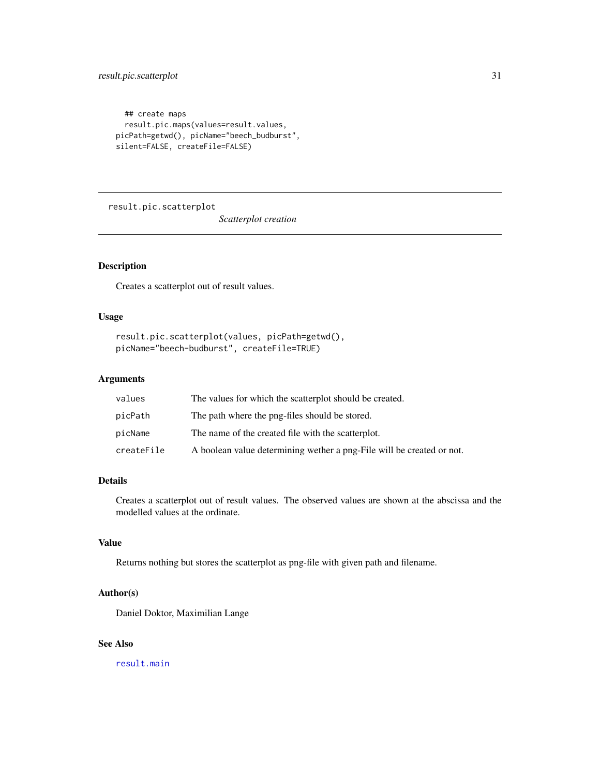```
## create maps
 result.pic.maps(values=result.values,
picPath=getwd(), picName="beech_budburst",
silent=FALSE, createFile=FALSE)
```
<span id="page-30-1"></span>result.pic.scatterplot

*Scatterplot creation*

### Description

Creates a scatterplot out of result values.

### Usage

```
result.pic.scatterplot(values, picPath=getwd(),
picName="beech-budburst", createFile=TRUE)
```
### Arguments

| values     | The values for which the scatterplot should be created.               |
|------------|-----------------------------------------------------------------------|
| picPath    | The path where the png-files should be stored.                        |
| picName    | The name of the created file with the scatterplot.                    |
| createFile | A boolean value determining wether a png-File will be created or not. |

### Details

Creates a scatterplot out of result values. The observed values are shown at the abscissa and the modelled values at the ordinate.

### Value

Returns nothing but stores the scatterplot as png-file with given path and filename.

### Author(s)

Daniel Doktor, Maximilian Lange

### See Also

[result.main](#page-25-1)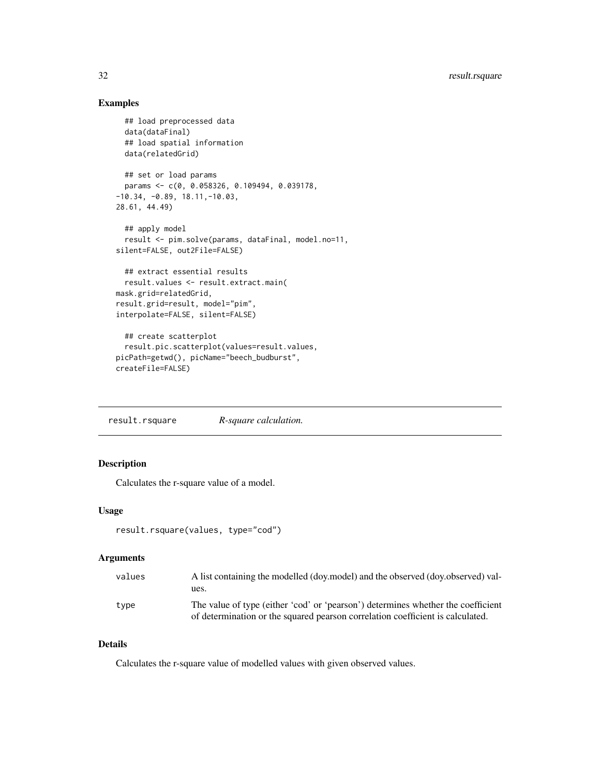### <span id="page-31-0"></span>Examples

```
## load preprocessed data
  data(dataFinal)
  ## load spatial information
  data(relatedGrid)
  ## set or load params
  params <- c(0, 0.058326, 0.109494, 0.039178,
-10.34, -0.89, 18.11,-10.03,
28.61, 44.49)
  ## apply model
  result <- pim.solve(params, dataFinal, model.no=11,
silent=FALSE, out2File=FALSE)
  ## extract essential results
  result.values <- result.extract.main(
mask.grid=relatedGrid,
result.grid=result, model="pim",
interpolate=FALSE, silent=FALSE)
  ## create scatterplot
  result.pic.scatterplot(values=result.values,
picPath=getwd(), picName="beech_budburst",
```

```
createFile=FALSE)
```
<span id="page-31-1"></span>result.rsquare *R-square calculation.*

### Description

Calculates the r-square value of a model.

### Usage

```
result.rsquare(values, type="cod")
```
#### Arguments

| values | A list containing the modelled (doy, model) and the observed (doy, observed) val- |
|--------|-----------------------------------------------------------------------------------|
|        | ues.                                                                              |
| tvpe   | The value of type (either 'cod' or 'pearson') determines whether the coefficient  |
|        | of determination or the squared pearson correlation coefficient is calculated.    |

### Details

Calculates the r-square value of modelled values with given observed values.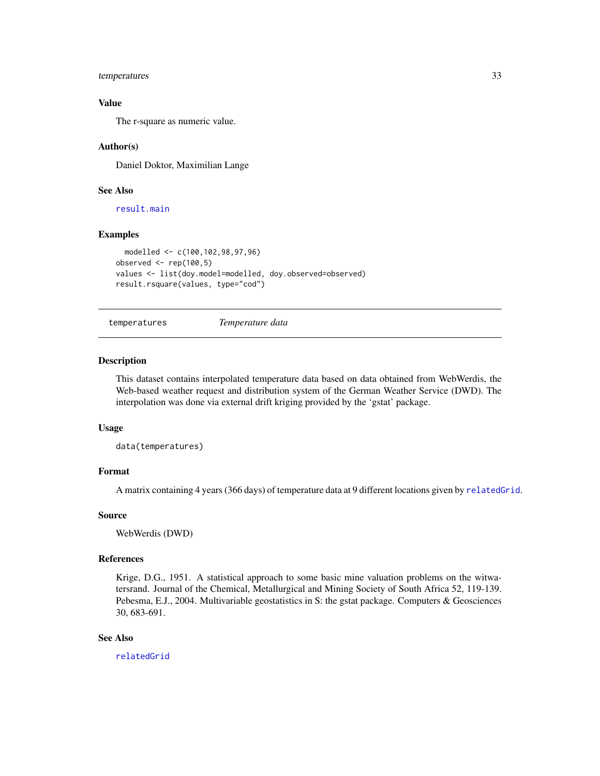### <span id="page-32-0"></span>temperatures 33

### Value

The r-square as numeric value.

#### Author(s)

Daniel Doktor, Maximilian Lange

#### See Also

[result.main](#page-25-1)

#### Examples

```
modelled <- c(100,102,98,97,96)
observed <- rep(100,5)
values <- list(doy.model=modelled, doy.observed=observed)
result.rsquare(values, type="cod")
```
<span id="page-32-1"></span>temperatures *Temperature data*

### Description

This dataset contains interpolated temperature data based on data obtained from WebWerdis, the Web-based weather request and distribution system of the German Weather Service (DWD). The interpolation was done via external drift kriging provided by the 'gstat' package.

#### Usage

data(temperatures)

#### Format

A matrix containing 4 years (366 days) of temperature data at 9 different locations given by [relatedGrid](#page-19-1).

### Source

WebWerdis (DWD)

#### References

Krige, D.G., 1951. A statistical approach to some basic mine valuation problems on the witwatersrand. Journal of the Chemical, Metallurgical and Mining Society of South Africa 52, 119-139. Pebesma, E.J., 2004. Multivariable geostatistics in S: the gstat package. Computers & Geosciences 30, 683-691.

#### See Also

[relatedGrid](#page-19-1)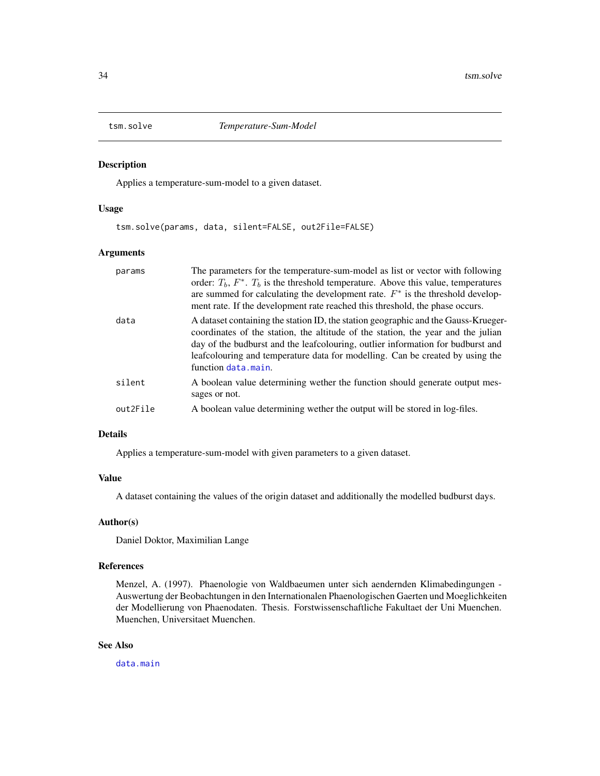<span id="page-33-1"></span><span id="page-33-0"></span>

#### Description

Applies a temperature-sum-model to a given dataset.

#### Usage

tsm.solve(params, data, silent=FALSE, out2File=FALSE)

#### Arguments

| params   | The parameters for the temperature-sum-model as list or vector with following<br>order: $T_b$ , $F^*$ . $T_b$ is the threshold temperature. Above this value, temperatures<br>are summed for calculating the development rate. $F^*$ is the threshold develop-<br>ment rate. If the development rate reached this threshold, the phase occurs.                     |
|----------|--------------------------------------------------------------------------------------------------------------------------------------------------------------------------------------------------------------------------------------------------------------------------------------------------------------------------------------------------------------------|
| data     | A dataset containing the station ID, the station geographic and the Gauss-Krueger-<br>coordinates of the station, the altitude of the station, the year and the julian<br>day of the budburst and the leaf colouring, outlier information for budburst and<br>leafcolouring and temperature data for modelling. Can be created by using the<br>function data.main. |
| silent   | A boolean value determining wether the function should generate output mes-<br>sages or not.                                                                                                                                                                                                                                                                       |
| out2File | A boolean value determining wether the output will be stored in log-files.                                                                                                                                                                                                                                                                                         |

#### Details

Applies a temperature-sum-model with given parameters to a given dataset.

#### Value

A dataset containing the values of the origin dataset and additionally the modelled budburst days.

#### Author(s)

Daniel Doktor, Maximilian Lange

### References

Menzel, A. (1997). Phaenologie von Waldbaeumen unter sich aendernden Klimabedingungen - Auswertung der Beobachtungen in den Internationalen Phaenologischen Gaerten und Moeglichkeiten der Modellierung von Phaenodaten. Thesis. Forstwissenschaftliche Fakultaet der Uni Muenchen. Muenchen, Universitaet Muenchen.

### See Also

[data.main](#page-13-1)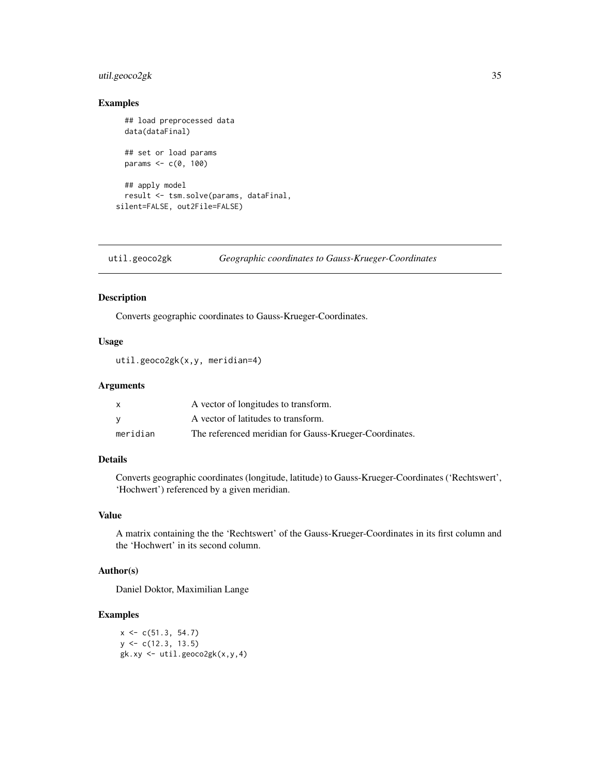### <span id="page-34-0"></span>util.geoco2gk 35

### Examples

```
## load preprocessed data
 data(dataFinal)
 ## set or load params
 params <-c(0, 100)## apply model
 result <- tsm.solve(params, dataFinal,
silent=FALSE, out2File=FALSE)
```
util.geoco2gk *Geographic coordinates to Gauss-Krueger-Coordinates*

### Description

Converts geographic coordinates to Gauss-Krueger-Coordinates.

### Usage

```
util.geoco2gk(x,y, meridian=4)
```
#### Arguments

|          | A vector of longitudes to transform.                   |
|----------|--------------------------------------------------------|
|          | A vector of latitudes to transform.                    |
| meridian | The referenced meridian for Gauss-Krueger-Coordinates. |

### Details

Converts geographic coordinates (longitude, latitude) to Gauss-Krueger-Coordinates ('Rechtswert', 'Hochwert') referenced by a given meridian.

### Value

A matrix containing the the 'Rechtswert' of the Gauss-Krueger-Coordinates in its first column and the 'Hochwert' in its second column.

### Author(s)

Daniel Doktor, Maximilian Lange

### Examples

 $x \leq -c(51.3, 54.7)$  $y \leq c(12.3, 13.5)$  $g$ k.xy <- util.geoco2g $k(x, y, 4)$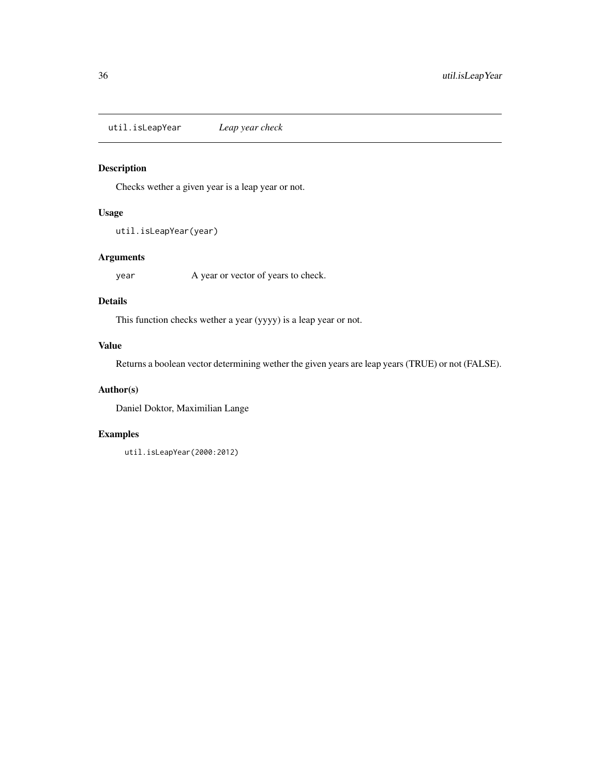<span id="page-35-0"></span>util.isLeapYear *Leap year check*

### Description

Checks wether a given year is a leap year or not.

### Usage

```
util.isLeapYear(year)
```
### Arguments

year A year or vector of years to check.

#### Details

This function checks wether a year (yyyy) is a leap year or not.

### Value

Returns a boolean vector determining wether the given years are leap years (TRUE) or not (FALSE).

### Author(s)

Daniel Doktor, Maximilian Lange

### Examples

util.isLeapYear(2000:2012)